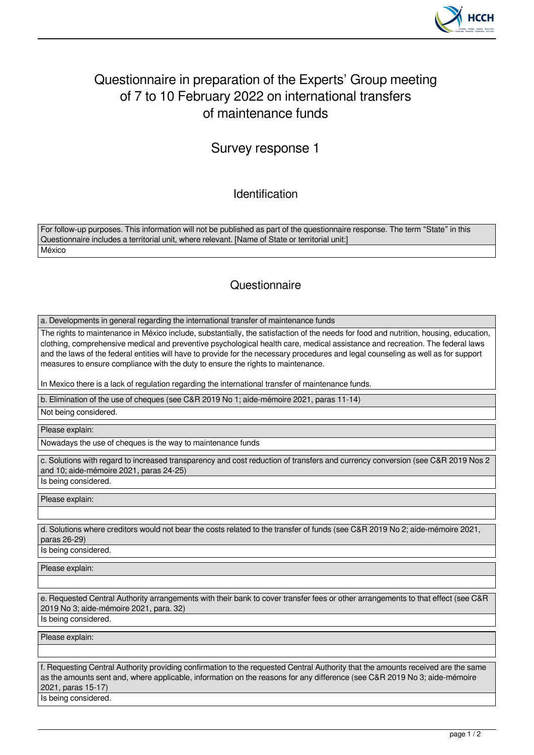

## Questionnaire in preparation of the Experts' Group meeting of 7 to 10 February 2022 on international transfers of maintenance funds

## Survey response 1

Identification

For follow-up purposes. This information will not be published as part of the questionnaire response. The term "State" in this Questionnaire includes a territorial unit, where relevant. [Name of State or territorial unit:] **México** 

## **Questionnaire**

a. Developments in general regarding the international transfer of maintenance funds

The rights to maintenance in México include, substantially, the satisfaction of the needs for food and nutrition, housing, education, clothing, comprehensive medical and preventive psychological health care, medical assistance and recreation. The federal laws and the laws of the federal entities will have to provide for the necessary procedures and legal counseling as well as for support measures to ensure compliance with the duty to ensure the rights to maintenance.

In Mexico there is a lack of regulation regarding the international transfer of maintenance funds.

b. Elimination of the use of cheques (see C&R 2019 No 1; aide-mémoire 2021, paras 11-14)

Not being considered.

Please explain:

Nowadays the use of cheques is the way to maintenance funds

c. Solutions with regard to increased transparency and cost reduction of transfers and currency conversion (see C&R 2019 Nos 2 and 10; aide-mémoire 2021, paras 24-25)

Please explain:

Is being considered.

d. Solutions where creditors would not bear the costs related to the transfer of funds (see C&R 2019 No 2; aide-mémoire 2021, paras 26-29)

Is being considered.

Please explain:

e. Requested Central Authority arrangements with their bank to cover transfer fees or other arrangements to that effect (see C&R 2019 No 3; aide-mémoire 2021, para. 32)

Is being considered.

Please explain:

f. Requesting Central Authority providing confirmation to the requested Central Authority that the amounts received are the same as the amounts sent and, where applicable, information on the reasons for any difference (see C&R 2019 No 3; aide-mémoire 2021, paras 15-17)

Is being considered.